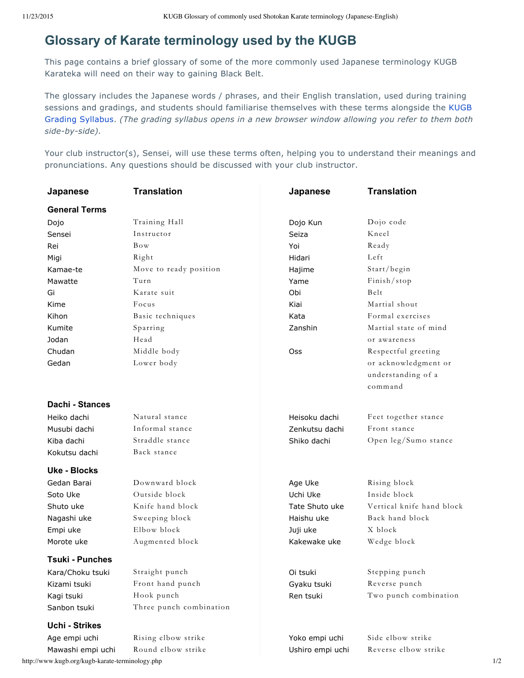# **Glossary of Karate terminology used by the KUGB**

This page contains a brief glossary of some of the more commonly used Japanese terminology KUGB Karateka will need on their way to gaining Black Belt.

The glossary includes the Japanese words / phrases, and their English translation, used during training sessions and gradings, and students should familiarise themselves with these terms alongside the KUGB Grading Syllabus. *(The grading syllabus opens in a new browser window allowing you refer to them both side-by-side).*

Your club instructor(s), Sensei, will use these terms often, helping you to understand their meanings and pronunciations. Any questions should be discussed with your club instructor.

| Japanese               | <b>Translation</b>      | Japanese         | <b>Translation</b>                                    |
|------------------------|-------------------------|------------------|-------------------------------------------------------|
| <b>General Terms</b>   |                         |                  |                                                       |
| Dojo                   | Training Hall           | Dojo Kun         | Dojo code                                             |
| Sensei                 | Instructor              | Seiza            | Kneel                                                 |
| Rei                    | Bow                     | Yoi              | Ready                                                 |
| Migi                   | Right                   | Hidari           | Left                                                  |
| Kamae-te               | Move to ready position  | Hajime           | Start/begin                                           |
| Mawatte                | Turn                    | Yame             | Finish/stop                                           |
| Gi                     | Karate suit             | Obi              | Belt                                                  |
| Kime                   | Focus                   | Kiai             | Martial shout                                         |
| Kihon                  | Basic techniques        | Kata             | Formal exercises                                      |
| Kumite                 | Sparring                | Zanshin          | Martial state of mind                                 |
| Jodan                  | Head                    |                  | or awareness                                          |
| Chudan                 | Middle body             | <b>Oss</b>       | Respectful greeting                                   |
| Gedan                  | Lower body              |                  | or acknowledgment or<br>understanding of a<br>command |
| Dachi - Stances        |                         |                  |                                                       |
| Heiko dachi            | Natural stance          | Heisoku dachi    | Feet together stance                                  |
| Musubi dachi           | Informal stance         | Zenkutsu dachi   | Front stance                                          |
| Kiba dachi             | Straddle stance         | Shiko dachi      | Open leg/Sumo stance                                  |
| Kokutsu dachi          | Back stance             |                  |                                                       |
| Uke - Blocks           |                         |                  |                                                       |
| Gedan Barai            | Downward block          | Age Uke          | Rising block                                          |
| Soto Uke               | Outside block           | Uchi Uke         | Inside block                                          |
| Shuto uke              | Knife hand block        | Tate Shuto uke   | Vertical knife hand block                             |
| Nagashi uke            | Sweeping block          | Haishu uke       | Back hand block                                       |
| Empi uke               | Elbow block             | Juji uke         | X block                                               |
| Morote uke             | Augmented block         | Kakewake uke     | Wedge block                                           |
| <b>Tsuki - Punches</b> |                         |                  |                                                       |
| Kara/Choku tsuki       | Straight punch          | Oi tsuki         | Stepping punch                                        |
| Kizami tsuki           | Front hand punch        | Gyaku tsuki      | Reverse punch                                         |
| Kagi tsuki             | Hook punch              | Ren tsuki        | Two punch combination                                 |
| Sanbon tsuki           | Three punch combination |                  |                                                       |
| <b>Uchi - Strikes</b>  |                         |                  |                                                       |
| Age empi uchi          | Rising elbow strike     | Yoko empi uchi   | Side elbow strike                                     |
| Mawashi empi uchi      | Round elbow strike      | Ushiro empi uchi | Reverse elbow strike                                  |

http://www.kugb.org/kugb-karate-terminology.php 1/2